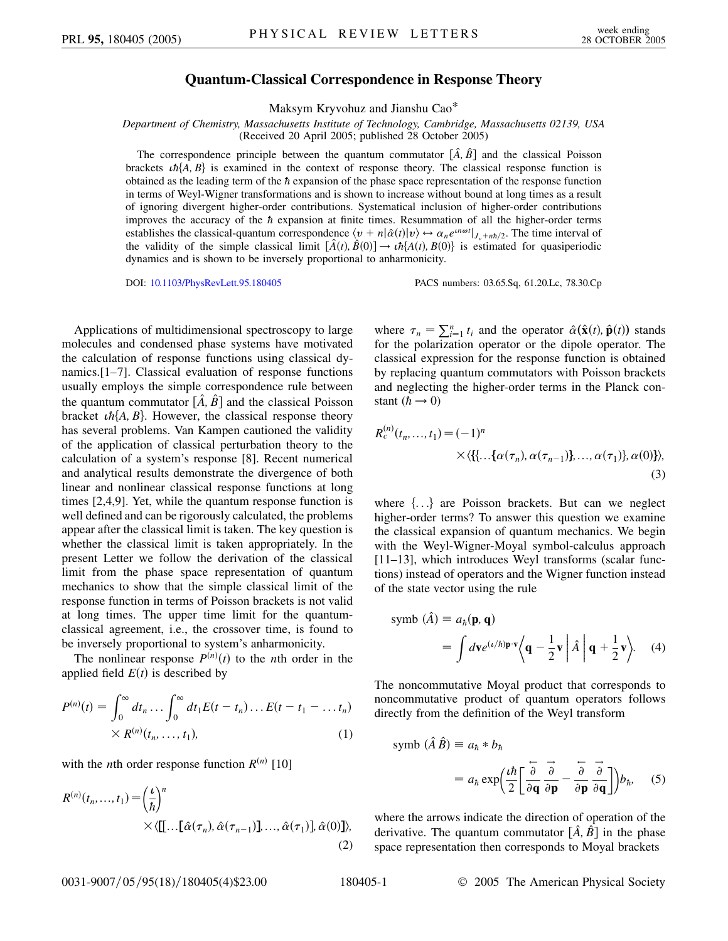## **Quantum-Classical Correspondence in Response Theory**

Maksym Kryvohuz and Jianshu Cao\*

*Department of Chemistry, Massachusetts Institute of Technology, Cambridge, Massachusetts 02139, USA* (Received 20 April 2005; published 28 October 2005)

The correspondence principle between the quantum commutator  $[\hat{A}, \hat{B}]$  and the classical Poisson brackets  $\iota h\{A, B\}$  is examined in the context of response theory. The classical response function is obtained as the leading term of the  $\hbar$  expansion of the phase space representation of the response function in terms of Weyl-Wigner transformations and is shown to increase without bound at long times as a result of ignoring divergent higher-order contributions. Systematical inclusion of higher-order contributions improves the accuracy of the  $\hbar$  expansion at finite times. Resummation of all the higher-order terms establishes the classical-quantum correspondence  $\langle v + n | \hat{\alpha}(t) | v \rangle \leftrightarrow \alpha_n e^{in\omega t} |_{J_v + nh/2}$ . The time interval of the validity of the simple classical limit  $[\hat{A}(t), \hat{B}(0)] \rightarrow th{A(t), B(0)}$  is estimated for quasiperiodic dynamics and is shown to be inversely proportional to anharmonicity.

DOI: [10.1103/PhysRevLett.95.180405](http://dx.doi.org/10.1103/PhysRevLett.95.180405) PACS numbers: 03.65.Sq, 61.20.Lc, 78.30.Cp

Applications of multidimensional spectroscopy to large molecules and condensed phase systems have motivated the calculation of response functions using classical dynamics.[1–7]. Classical evaluation of response functions usually employs the simple correspondence rule between the quantum commutator  $[\hat{A}, \hat{B}]$  and the classical Poisson bracket  $\iota \hbar \{A, B\}$ . However, the classical response theory has several problems. Van Kampen cautioned the validity of the application of classical perturbation theory to the calculation of a system's response [8]. Recent numerical and analytical results demonstrate the divergence of both linear and nonlinear classical response functions at long times [2,4,9]. Yet, while the quantum response function is well defined and can be rigorously calculated, the problems appear after the classical limit is taken. The key question is whether the classical limit is taken appropriately. In the present Letter we follow the derivation of the classical limit from the phase space representation of quantum mechanics to show that the simple classical limit of the response function in terms of Poisson brackets is not valid at long times. The upper time limit for the quantumclassical agreement, i.e., the crossover time, is found to be inversely proportional to system's anharmonicity.

The nonlinear response  $P^{(n)}(t)$  to the *n*th order in the applied field  $E(t)$  is described by

$$
P^{(n)}(t) = \int_0^\infty dt_n \dots \int_0^\infty dt_1 E(t - t_n) \dots E(t - t_1 - \dots t_n)
$$
  
 
$$
\times R^{(n)}(t_n, \dots, t_1),
$$
 (1)

with the *n*th order response function  $R^{(n)}$  [10]

$$
R^{(n)}(t_n, ..., t_1) = \left(\frac{t}{\hbar}\right)^n
$$
  
 
$$
\times \langle [[...[\hat{\alpha}(\tau_n), \hat{\alpha}(\tau_{n-1})], ..., \hat{\alpha}(\tau_1)], \hat{\alpha}(0)] \rangle, \tag{2}
$$

where  $\tau_n = \sum_{i=1}^n t_i$  and the operator  $\hat{\alpha}(\hat{\mathbf{x}}(t), \hat{\mathbf{p}}(t))$  stands for the polarization operator or the dipole operator. The classical expression for the response function is obtained by replacing quantum commutators with Poisson brackets and neglecting the higher-order terms in the Planck constant  $(h \rightarrow 0)$ 

$$
R_c^{(n)}(t_n, ..., t_1) = (-1)^n
$$
  
×  $\langle \{ \{ ... \{ \alpha(\tau_n), \alpha(\tau_{n-1}) \}, ..., \alpha(\tau_1) \}, \alpha(0) \} \rangle,$   
(3)

where  $\{...\}$  are Poisson brackets. But can we neglect higher-order terms? To answer this question we examine the classical expansion of quantum mechanics. We begin with the Weyl-Wigner-Moyal symbol-calculus approach [11–13], which introduces Weyl transforms (scalar functions) instead of operators and the Wigner function instead of the state vector using the rule

$$
\text{symbol}(\hat{A}) \equiv a_{\hbar}(\mathbf{p}, \mathbf{q})
$$
\n
$$
= \int d\mathbf{v} e^{(\iota/\hbar)\mathbf{p}\cdot\mathbf{v}} \Big\langle \mathbf{q} - \frac{1}{2}\mathbf{v} \Big| \hat{A} \Big| \mathbf{q} + \frac{1}{2}\mathbf{v} \Big\rangle. \tag{4}
$$

The noncommutative Moyal product that corresponds to noncommutative product of quantum operators follows directly from the definition of the Weyl transform

$$
\text{symbol}(\hat{A}\hat{B}) \equiv a_{\hbar} * b_{\hbar}
$$
\n
$$
= a_{\hbar} \exp\left(\frac{\iota \hbar}{2} \left[ \frac{\partial}{\partial \mathbf{q}} \frac{\partial}{\partial \mathbf{p}} - \frac{\partial}{\partial \mathbf{p}} \frac{\partial}{\partial \mathbf{q}} \right] \right) b_{\hbar}, \quad (5)
$$

where the arrows indicate the direction of operation of the derivative. The quantum commutator  $[\hat{A}, \hat{B}]$  in the phase space representation then corresponds to Moyal brackets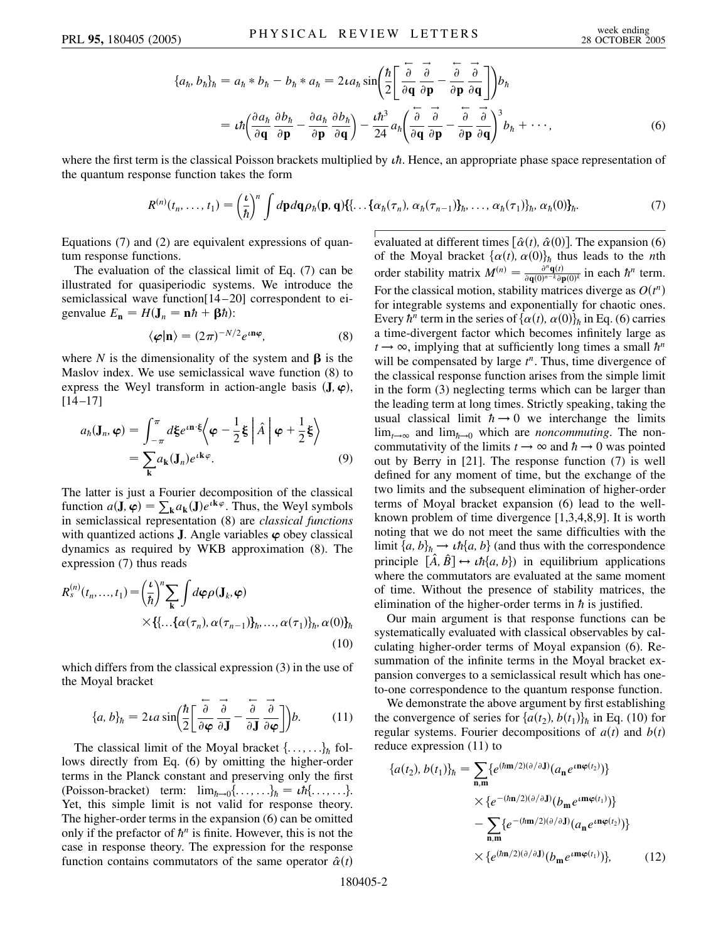$$
\{a_h, b_h\}_h = a_h * b_h - b_h * a_h = 2\iota a_h \sin\left(\frac{\hbar}{2}\left[\frac{\partial}{\partial \mathbf{q}} \frac{\partial}{\partial \mathbf{p}} - \frac{\partial}{\partial \mathbf{p}} \frac{\partial}{\partial \mathbf{q}}\right]\right) b_h
$$
  
=  $\iota \hbar \left(\frac{\partial a_h}{\partial \mathbf{q}} \frac{\partial b_h}{\partial \mathbf{p}} - \frac{\partial a_h}{\partial \mathbf{p}} \frac{\partial b_h}{\partial \mathbf{q}}\right) - \frac{\iota \hbar^3}{24} a_h \left(\frac{\partial}{\partial \mathbf{q}} \frac{\partial}{\partial \mathbf{p}} - \frac{\partial}{\partial \mathbf{p}} \frac{\partial}{\partial \mathbf{q}}\right)^3 b_h + \cdots,$  (6)

where the first term is the classical Poisson brackets multiplied by  $\iota\hbar$ . Hence, an appropriate phase space representation of the quantum response function takes the form

$$
R^{(n)}(t_n,\ldots,t_1)=\left(\frac{\iota}{\hbar}\right)^n\int d\mathbf{p}d\mathbf{q}\rho_{\hbar}(\mathbf{p},\mathbf{q})\{ \ldots\{\alpha_{\hbar}(\tau_n),\alpha_{\hbar}(\tau_{n-1})\}_n,\ldots,\alpha_{\hbar}(\tau_1)\}_n,\alpha_{\hbar}(0)\}_n.
$$
\n(7)

Equations (7) and (2) are equivalent expressions of quantum response functions.

The evaluation of the classical limit of Eq. (7) can be illustrated for quasiperiodic systems. We introduce the semiclassical wave function[14-20] correspondent to eigenvalue  $E_{\bf n} = H({\bf J}_n = {\bf n}\hbar + {\bf \beta}\hbar)$ :

$$
\langle \boldsymbol{\varphi} | \mathbf{n} \rangle = (2\pi)^{-N/2} e^{i \mathbf{n} \boldsymbol{\varphi}}, \tag{8}
$$

where *N* is the dimensionality of the system and  $\beta$  is the Maslov index. We use semiclassical wave function (8) to express the Weyl transform in action-angle basis  $(\mathbf{J}, \varphi)$ ,  $[14 - 17]$ 

$$
a_{\hbar}(\mathbf{J}_{n}, \boldsymbol{\varphi}) = \int_{-\pi}^{\pi} d\xi e^{i\mathbf{n} \cdot \xi} \langle \boldsymbol{\varphi} - \frac{1}{2} \xi | \hat{A} | \boldsymbol{\varphi} + \frac{1}{2} \xi \rangle
$$
  
= 
$$
\sum_{\mathbf{k}} a_{\mathbf{k}}(\mathbf{J}_{n}) e^{i\mathbf{k}\varphi}.
$$
 (9)

The latter is just a Fourier decomposition of the classical function  $a(\mathbf{J}, \varphi) = \sum_{\mathbf{k}} a_{\mathbf{k}}(\mathbf{J}) e^{i\mathbf{k}\varphi}$ . Thus, the Weyl symbols in semiclassical representation (8) are *classical functions* with quantized actions **J**. Angle variables  $\varphi$  obey classical dynamics as required by WKB approximation (8). The expression (7) thus reads

$$
R_s^{(n)}(t_n, ..., t_1) = \left(\frac{t}{\hbar}\right)^n \sum_{\mathbf{k}} \int d\boldsymbol{\varphi} \rho(\mathbf{J}_k, \boldsymbol{\varphi})
$$
  
 
$$
\times \left\{\{\dots \{\alpha(\tau_n), \alpha(\tau_{n-1})\}_h, ..., \alpha(\tau_1)\}_h, \alpha(0)\}_h
$$
  
(10)

which differs from the classical expression (3) in the use of the Moyal bracket

$$
\{a, b\}_h = 2\iota a \sin\left(\frac{h}{2}\left[\frac{\overleftarrow{\partial}}{\partial \varphi} \frac{\overrightarrow{\partial}}{\partial J} - \frac{\overleftarrow{\partial}}{\partial J} \frac{\overrightarrow{\partial}}{\partial \varphi}\right]\right) b. \tag{11}
$$

The classical limit of the Moyal bracket  $\{\ldots,\ldots\}_\hbar$  follows directly from Eq. (6) by omitting the higher-order terms in the Planck constant and preserving only the first (Poisson-bracket) term:  $\lim_{\hbar \to 0} \{ \dots, \dots \}_{\hbar} = \iota \hbar \{ \dots, \dots \}$ . Yet, this simple limit is not valid for response theory. The higher-order terms in the expansion (6) can be omitted only if the prefactor of  $h^n$  is finite. However, this is not the case in response theory. The expression for the response function contains commutators of the same operator  $\hat{\alpha}(t)$ 

evaluated at different times  $[\hat{\alpha}(t), \hat{\alpha}(0)]$ . The expansion (6) of the Moyal bracket  $\{\alpha(t), \alpha(0)\}_\hbar$  thus leads to the *n*th order stability matrix  $M^{(n)} = \frac{\partial^n q(t)}{\partial q(0)^{n-k} \partial p(0)^k}$  in each  $\hbar^n$  term. For the classical motion, stability matrices diverge as  $O(t^n)$ for integrable systems and exponentially for chaotic ones. Every  $\hbar^n$  term in the series of  $\{\alpha(t), \alpha(0)\}_\hbar$  in Eq. (6) carries a time-divergent factor which becomes infinitely large as  $t \rightarrow \infty$ , implying that at sufficiently long times a small  $\hbar^n$ will be compensated by large  $t^n$ . Thus, time divergence of the classical response function arises from the simple limit in the form (3) neglecting terms which can be larger than the leading term at long times. Strictly speaking, taking the usual classical limit  $\hbar \rightarrow 0$  we interchange the limits  $\lim_{t\to\infty}$  and  $\lim_{h\to 0}$  which are *noncommuting*. The noncommutativity of the limits  $t \to \infty$  and  $\hbar \to 0$  was pointed out by Berry in [21]. The response function (7) is well defined for any moment of time, but the exchange of the two limits and the subsequent elimination of higher-order terms of Moyal bracket expansion (6) lead to the wellknown problem of time divergence [1,3,4,8,9]. It is worth noting that we do not meet the same difficulties with the limit  ${a, b}_h \rightarrow th{a, b}$  (and thus with the correspondence principle  $[\hat{A}, \hat{B}] \leftrightarrow th\{a, b\}$  in equilibrium applications where the commutators are evaluated at the same moment of time. Without the presence of stability matrices, the elimination of the higher-order terms in  $\hbar$  is justified.

Our main argument is that response functions can be systematically evaluated with classical observables by calculating higher-order terms of Moyal expansion (6). Resummation of the infinite terms in the Moyal bracket expansion converges to a semiclassical result which has oneto-one correspondence to the quantum response function.

We demonstrate the above argument by first establishing the convergence of series for  $\{a(t_2), b(t_1)\}_h$  in Eq. (10) for regular systems. Fourier decompositions of  $a(t)$  and  $b(t)$ reduce expression (11) to

$$
\{a(t_2), b(t_1)\}_\hbar = \sum_{\mathbf{n}, \mathbf{m}} \{e^{(\hbar \mathbf{m}/2)(\partial/\partial \mathbf{J})} (a_\mathbf{n} e^{\iota \mathbf{n} \varphi(t_2)})\} \\
\times \{e^{-(\hbar \mathbf{n}/2)(\partial/\partial \mathbf{J})} (b_\mathbf{m} e^{\iota \mathbf{m} \varphi(t_1)})\} \\
-\sum_{\mathbf{n}, \mathbf{m}} \{e^{-(\hbar \mathbf{m}/2)(\partial/\partial \mathbf{J})} (a_\mathbf{n} e^{\iota \mathbf{n} \varphi(t_2)})\} \\
\times \{e^{(\hbar \mathbf{n}/2)(\partial/\partial \mathbf{J})} (b_\mathbf{m} e^{\iota \mathbf{m} \varphi(t_1)})\},\n\tag{12}
$$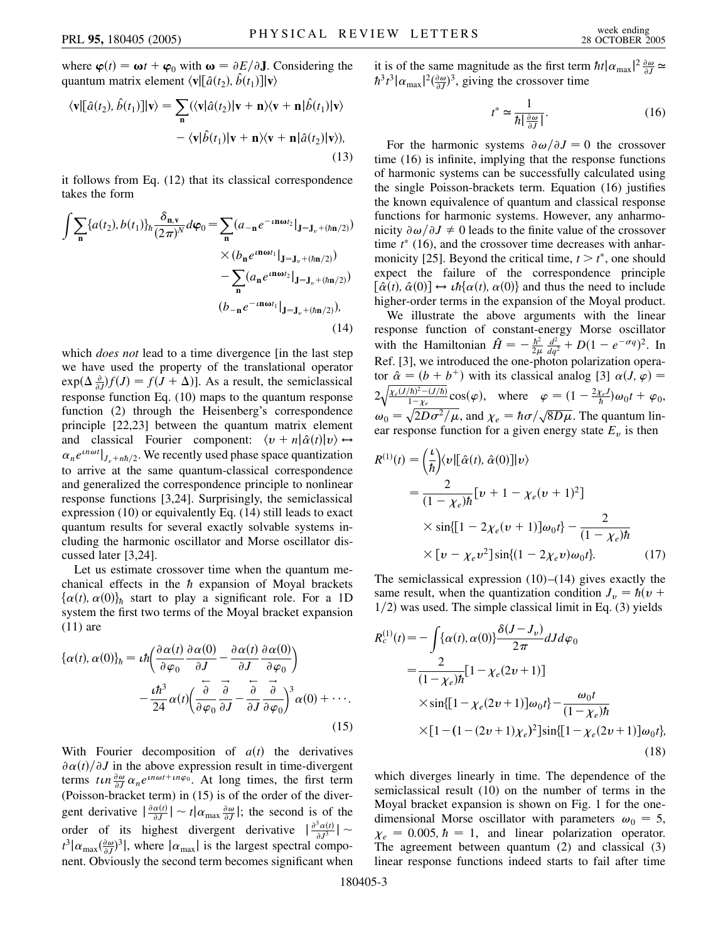where  $\varphi(t) = \omega t + \varphi_0$  with  $\omega = \partial E/\partial \mathbf{J}$ . Considering the quantum matrix element  $\langle \mathbf{v} | [\hat{a}(t_2), \hat{b}(t_1)] | \mathbf{v} \rangle$ 

$$
\langle \mathbf{v} | [\hat{a}(t_2), \hat{b}(t_1)] | \mathbf{v} \rangle = \sum_{\mathbf{n}} (\langle \mathbf{v} | \hat{a}(t_2) | \mathbf{v} + \mathbf{n} \rangle \langle \mathbf{v} + \mathbf{n} | \hat{b}(t_1) | \mathbf{v} \rangle - \langle \mathbf{v} | \hat{b}(t_1) | \mathbf{v} + \mathbf{n} \rangle \langle \mathbf{v} + \mathbf{n} | \hat{a}(t_2) | \mathbf{v} \rangle),
$$
(13)

it follows from Eq. (12) that its classical correspondence takes the form

$$
\int \sum_{\mathbf{n}} \{a(t_2), b(t_1)\}_h \frac{\delta_{\mathbf{n}, \mathbf{v}}}{(2\pi)^N} d\varphi_0 = \sum_{\mathbf{n}} (a_{-\mathbf{n}} e^{-i\mathbf{n}\omega t_2} |_{\mathbf{J} = \mathbf{J}_v + (\hbar \mathbf{n}/2)})
$$

$$
\times (b_{\mathbf{n}} e^{i\mathbf{n}\omega t_1} |_{\mathbf{J} = \mathbf{J}_v + (\hbar \mathbf{n}/2)})
$$

$$
- \sum_{\mathbf{n}} (a_{\mathbf{n}} e^{i\mathbf{n}\omega t_2} |_{\mathbf{J} = \mathbf{J}_v + (\hbar \mathbf{n}/2)})
$$

$$
(b_{-\mathbf{n}} e^{-i\mathbf{n}\omega t_1} |_{\mathbf{J} = \mathbf{J}_v + (\hbar \mathbf{n}/2)}),
$$
(14)

which *does not* lead to a time divergence [in the last step we have used the property of the translational operator  $\exp(\Delta \frac{\partial}{\partial J})f(J) = f(J + \Delta)$ . As a result, the semiclassical response function Eq. (10) maps to the quantum response function (2) through the Heisenberg's correspondence principle [22,23] between the quantum matrix element and classical Fourier component:  $\langle v + n | \hat{\alpha}(t) | v \rangle \leftrightarrow$  $\alpha_n e^{in\omega t}|_{J_\nu + n\hbar/2}$ . We recently used phase space quantization to arrive at the same quantum-classical correspondence and generalized the correspondence principle to nonlinear response functions [3,24]. Surprisingly, the semiclassical expression (10) or equivalently Eq. (14) still leads to exact quantum results for several exactly solvable systems including the harmonic oscillator and Morse oscillator discussed later [3,24].

Let us estimate crossover time when the quantum mechanical effects in the  $h$  expansion of Moyal brackets  $\{\alpha(t), \alpha(0)\}_\hbar$  start to play a significant role. For a 1D system the first two terms of the Moyal bracket expansion (11) are

$$
\{\alpha(t), \alpha(0)\}_\hbar = \iota \hbar \left( \frac{\partial \alpha(t)}{\partial \varphi_0} \frac{\partial \alpha(0)}{\partial J} - \frac{\partial \alpha(t)}{\partial J} \frac{\partial \alpha(0)}{\partial \varphi_0} \right) - \frac{\iota \hbar^3}{24} \alpha(t) \left( \frac{\partial}{\partial \varphi_0} \frac{\partial}{\partial J} - \frac{\partial}{\partial J} \frac{\partial}{\partial \varphi_0} \right)^3 \alpha(0) + \cdots
$$
\n(15)

With Fourier decomposition of  $a(t)$  the derivatives  $\partial \alpha(t)/\partial J$  in the above expression result in time-divergent terms  $t \ln \frac{\partial \omega}{\partial J} \alpha_n e^{in\omega t + in\varphi_0}$ . At long times, the first term (Poisson-bracket term) in (15) is of the order of the divergent derivative  $\left| \frac{\partial \alpha(t)}{\partial J} \right| \sim t \left| \alpha_{\text{max}} \frac{\partial \omega}{\partial J} \right|$ ; the second is of the order of its highest divergent derivative  $\left| \frac{\partial^3 \alpha(t)}{\partial J^3} \right| \sim$  $t^3 |\alpha_{\text{max}}(\frac{\partial \omega}{\partial J})^3|$ , where  $|\alpha_{\text{max}}|$  is the largest spectral component. Obviously the second term becomes significant when it is of the same magnitude as the first term  $\hbar t |\alpha_{\text{max}}|^2 \frac{\partial \omega}{\partial J} \simeq$  $\hbar^3 t^3 |\alpha_{\text{max}}|^2 \left(\frac{\partial \omega}{\partial J}\right)^3$ , giving the crossover time

$$
t^* \simeq \frac{1}{\hbar \left| \frac{\partial \omega}{\partial J} \right|}.
$$
 (16)

For the harmonic systems  $\partial \omega / \partial J = 0$  the crossover time (16) is infinite, implying that the response functions of harmonic systems can be successfully calculated using the single Poisson-brackets term. Equation (16) justifies the known equivalence of quantum and classical response functions for harmonic systems. However, any anharmonicity  $\partial \omega / \partial J \neq 0$  leads to the finite value of the crossover time  $t^*$  (16), and the crossover time decreases with anharmonicity [25]. Beyond the critical time,  $t > t^*$ , one should expect the failure of the correspondence principle  $\left[ \hat{\alpha}(t), \hat{\alpha}(0) \right] \leftrightarrow th\{\alpha(t), \alpha(0)\}\$ and thus the need to include higher-order terms in the expansion of the Moyal product.

We illustrate the above arguments with the linear response function of constant-energy Morse oscillator with the Hamiltonian  $\hat{H} = -\frac{\hbar^2}{2\mu} \frac{d^2}{dq^2} + D(1 - e^{-\sigma q})^2$ . In Ref. [3], we introduced the one-photon polarization operator  $\hat{\alpha} = (b + b^{+})$  with its classical analog [3]  $\alpha(J, \varphi) =$ 2  $\frac{1}{\chi_e(J/\hbar)^2 - (J/\hbar)}$  $1 - \chi_e$  $\sqrt{\frac{\chi_{\epsilon}(J/\hbar)^2 - (J/\hbar)}{1 - \chi_{\epsilon}}} \cos(\varphi),$  where  $\varphi = (1 - \frac{2\chi_{\epsilon}J}{\hbar})\omega_0 t + \varphi_0$ ,  $\omega_0 = \sqrt{2D\sigma^2/\mu}$ , and  $\chi_e = \hbar \sigma / \sqrt{8D\mu}$ . The quantum linear response function for a given energy state  $E<sub>v</sub>$  is then

$$
R^{(1)}(t) = \left(\frac{t}{\hbar}\right) \langle v | [\hat{\alpha}(t), \hat{\alpha}(0)] | v \rangle
$$
  
\n
$$
= \frac{2}{(1 - \chi_e)\hbar} [v + 1 - \chi_e(v + 1)^2]
$$
  
\n
$$
\times \sin\{[1 - 2\chi_e(v + 1)]\omega_0 t\} - \frac{2}{(1 - \chi_e)\hbar}
$$
  
\n
$$
\times [v - \chi_e v^2] \sin\{(1 - 2\chi_e v)\omega_0 t\}. \tag{17}
$$

The semiclassical expression  $(10)$ – $(14)$  gives exactly the same result, when the quantization condition  $J_v = \hbar (v +$ 1/2) was used. The simple classical limit in Eq. (3) yields

$$
R_c^{(1)}(t) = -\int {\{\alpha(t), \alpha(0)\}} \frac{\delta(J - J_v)}{2\pi} dJ d\varphi_0
$$
  
= 
$$
\frac{2}{(1 - \chi_e)\hbar} [1 - \chi_e (2v + 1)]
$$
  

$$
\times \sin\left[\left[1 - \chi_e (2v + 1)\right] \omega_0 t\right] - \frac{\omega_0 t}{(1 - \chi_e)\hbar}
$$
  

$$
\times \left[1 - (1 - (2v + 1)\chi_e)^2\right] \sin\left[\left[1 - \chi_e (2v + 1)\right] \omega_0 t\right],
$$
  
(18)

which diverges linearly in time. The dependence of the semiclassical result (10) on the number of terms in the Moyal bracket expansion is shown on Fig. 1 for the onedimensional Morse oscillator with parameters  $\omega_0 = 5$ ,  $\chi_e = 0.005$ ,  $\hbar = 1$ , and linear polarization operator. The agreement between quantum (2) and classical (3) linear response functions indeed starts to fail after time